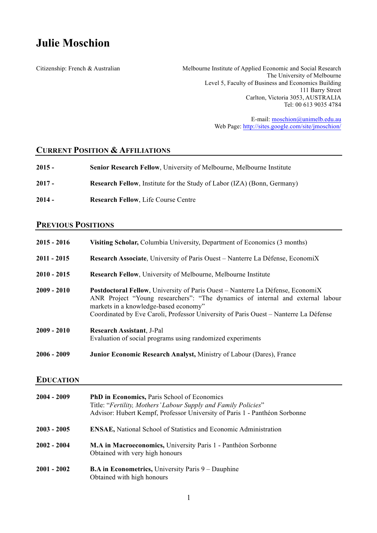# **Julie Moschion**

Citizenship: French & Australian Melbourne Institute of Applied Economic and Social Research The University of Melbourne Level 5, Faculty of Business and Economics Building 111 Barry Street Carlton, Victoria 3053, AUSTRALIA Tel: 00 613 9035 4784

> E-mail: moschion@unimelb.edu.au Web Page: http://sites.google.com/site/jmoschion/

# **CURRENT POSITION & AFFILIATIONS**

| $2015 -$ | <b>Senior Research Fellow, University of Melbourne, Melbourne Institute</b>    |
|----------|--------------------------------------------------------------------------------|
| $2017 -$ | <b>Research Fellow, Institute for the Study of Labor (IZA) (Bonn, Germany)</b> |
| $2014 -$ | <b>Research Fellow, Life Course Centre</b>                                     |

# **PREVIOUS POSITIONS**

| $2015 - 2016$ | Visiting Scholar, Columbia University, Department of Economics (3 months)                                                                                                                                                                                                                                |
|---------------|----------------------------------------------------------------------------------------------------------------------------------------------------------------------------------------------------------------------------------------------------------------------------------------------------------|
| $2011 - 2015$ | Research Associate, University of Paris Ouest – Nanterre La Défense, EconomiX                                                                                                                                                                                                                            |
| $2010 - 2015$ | <b>Research Fellow, University of Melbourne, Melbourne Institute</b>                                                                                                                                                                                                                                     |
| $2009 - 2010$ | <b>Postdoctoral Fellow, University of Paris Ouest – Nanterre La Défense, EconomiX</b><br>ANR Project "Young researchers": "The dynamics of internal and external labour<br>markets in a knowledge-based economy"<br>Coordinated by Eve Caroli, Professor University of Paris Ouest – Nanterre La Défense |
| $2009 - 2010$ | <b>Research Assistant, J-Pal</b><br>Evaluation of social programs using randomized experiments                                                                                                                                                                                                           |
| $2006 - 2009$ | <b>Junior Economic Research Analyst, Ministry of Labour (Dares), France</b>                                                                                                                                                                                                                              |

## **EDUCATION**

| 2004 - 2009   | <b>PhD in Economics, Paris School of Economics</b><br>Title: "Fertility, Mothers' Labour Supply and Family Policies"<br>Advisor: Hubert Kempf, Professor University of Paris 1 - Panthéon Sorbonne |
|---------------|----------------------------------------------------------------------------------------------------------------------------------------------------------------------------------------------------|
| 2003 - 2005   | <b>ENSAE</b> , National School of Statistics and Economic Administration                                                                                                                           |
| $2002 - 2004$ | M.A in Macroeconomics, University Paris 1 - Panthéon Sorbonne<br>Obtained with very high honours                                                                                                   |
| $2001 - 2002$ | <b>B.A in Econometrics, University Paris 9 – Dauphine</b><br>Obtained with high honours                                                                                                            |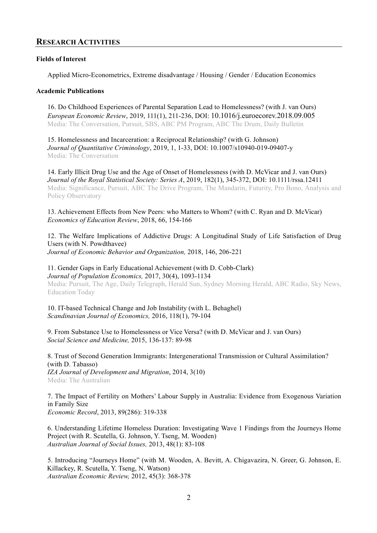# **RESEARCH ACTIVITIES**

## **Fields of Interest**

Applied Micro-Econometrics, Extreme disadvantage / Housing / Gender / Education Economics

## **Academic Publications**

16. Do Childhood Experiences of Parental Separation Lead to Homelessness? (with J. van Ours) *European Economic Review*, 2019, 111(1), 211-236, DOI: 10.1016/j.euroecorev.2018.09.005 Media: The Conversation, Pursuit, SBS, ABC PM Program, ABC The Drum, Daily Bulletin

15. Homelessness and Incarceration: a Reciprocal Relationship? (with G. Johnson) *Journal of Quantitative Criminology*, 2019, 1, 1-33, DOI: 10.1007/s10940-019-09407-y Media: The Conversation

14. Early Illicit Drug Use and the Age of Onset of Homelessness (with D. McVicar and J. van Ours) *Journal of the Royal Statistical Society: Series A*, 2019, 182(1), 345-372, DOI: 10.1111/rssa.12411 Media: Significance, Pursuit, ABC The Drive Program, The Mandarin, Futurity, Pro Bono, Analysis and Policy Observatory

13. Achievement Effects from New Peers: who Matters to Whom? (with C. Ryan and D. McVicar) *Economics of Education Review*, 2018, 66, 154-166

12. The Welfare Implications of Addictive Drugs: A Longitudinal Study of Life Satisfaction of Drug Users (with N. Powdthavee) *Journal of Economic Behavior and Organization,* 2018, 146, 206-221

11. Gender Gaps in Early Educational Achievement (with D. Cobb-Clark) *Journal of Population Economics,* 2017, 30(4), 1093-1134 Media: Pursuit, The Age, Daily Telegraph, Herald Sun, Sydney Morning Herald, ABC Radio, Sky News, Education Today

10. IT-based Technical Change and Job Instability (with L. Behaghel) *Scandinavian Journal of Economics,* 2016, 118(1), 79-104

9. From Substance Use to Homelessness or Vice Versa? (with D. McVicar and J. van Ours) *Social Science and Medicine,* 2015, 136-137: 89-98

8. Trust of Second Generation Immigrants: Intergenerational Transmission or Cultural Assimilation? (with D. Tabasso) *IZA Journal of Development and Migration*, 2014, 3(10) Media: The Australian

7. The Impact of Fertility on Mothers' Labour Supply in Australia: Evidence from Exogenous Variation in Family Size *Economic Record*, 2013, 89(286): 319-338

6. Understanding Lifetime Homeless Duration: Investigating Wave 1 Findings from the Journeys Home Project (with R. Scutella, G. Johnson, Y. Tseng, M. Wooden) *Australian Journal of Social Issues,* 2013, 48(1): 83-108

5. Introducing "Journeys Home" (with M. Wooden, A. Bevitt, A. Chigavazira, N. Greer, G. Johnson, E. Killackey, R. Scutella, Y. Tseng, N. Watson) *Australian Economic Review,* 2012, 45(3): 368-378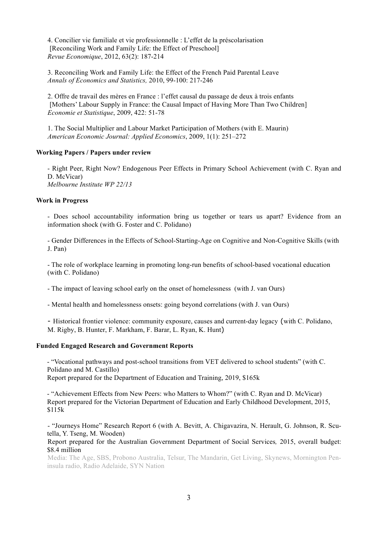4. Concilier vie familiale et vie professionnelle : L'effet de la préscolarisation [Reconciling Work and Family Life: the Effect of Preschool] *Revue Economique*, 2012, 63(2): 187-214

3. Reconciling Work and Family Life: the Effect of the French Paid Parental Leave *Annals of Economics and Statistics,* 2010, 99-100: 217-246

2. Offre de travail des mères en France : l'effet causal du passage de deux à trois enfants [Mothers' Labour Supply in France: the Causal Impact of Having More Than Two Children] *Economie et Statistique*, 2009, 422: 51-78

1. The Social Multiplier and Labour Market Participation of Mothers (with E. Maurin) *American Economic Journal: Applied Economics*, 2009, 1(1): 251–272

#### **Working Papers / Papers under review**

- Right Peer, Right Now? Endogenous Peer Effects in Primary School Achievement (with C. Ryan and D. McVicar) *Melbourne Institute WP 22/13*

#### **Work in Progress**

- Does school accountability information bring us together or tears us apart? Evidence from an information shock (with G. Foster and C. Polidano)

- Gender Differences in the Effects of School-Starting-Age on Cognitive and Non-Cognitive Skills (with J. Pan)

- The role of workplace learning in promoting long-run benefits of school-based vocational education (with C. Polidano)

- The impact of leaving school early on the onset of homelessness (with J. van Ours)

- Mental health and homelessness onsets: going beyond correlations (with J. van Ours)

- Historical frontier violence: community exposure, causes and current-day legacy (with C. Polidano, M. Rigby, B. Hunter, F. Markham, F. Barar, L. Ryan, K. Hunt)

#### **Funded Engaged Research and Government Reports**

- "Vocational pathways and post-school transitions from VET delivered to school students" (with C. Polidano and M. Castillo) Report prepared for the Department of Education and Training, 2019, \$165k

- "Achievement Effects from New Peers: who Matters to Whom?" (with C. Ryan and D. McVicar) Report prepared for the Victorian Department of Education and Early Childhood Development, 2015, \$115k

- "Journeys Home" Research Report 6 (with A. Bevitt, A. Chigavazira, N. Herault, G. Johnson, R. Scutella, Y. Tseng, M. Wooden)

Report prepared for the Australian Government Department of Social Services*,* 2015, overall budget: \$8.4 million

Media: The Age, SBS, Probono Australia, Telsur, The Mandarin, Get Living, Skynews, Mornington Peninsula radio, Radio Adelaide, SYN Nation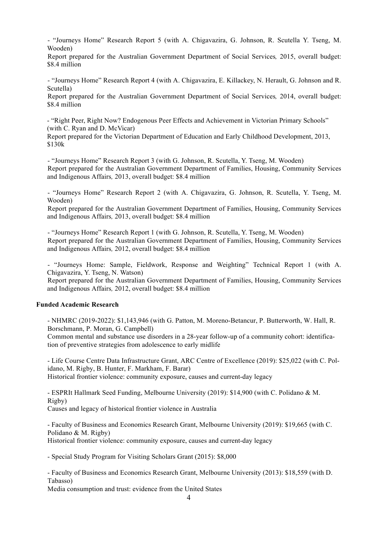- "Journeys Home" Research Report 5 (with A. Chigavazira, G. Johnson, R. Scutella Y. Tseng, M. Wooden)

Report prepared for the Australian Government Department of Social Services*,* 2015, overall budget: \$8.4 million

- "Journeys Home" Research Report 4 (with A. Chigavazira, E. Killackey, N. Herault, G. Johnson and R. Scutella)

Report prepared for the Australian Government Department of Social Services*,* 2014, overall budget: \$8.4 million

- "Right Peer, Right Now? Endogenous Peer Effects and Achievement in Victorian Primary Schools" (with C. Ryan and D. McVicar)

Report prepared for the Victorian Department of Education and Early Childhood Development, 2013, \$130k

- "Journeys Home" Research Report 3 (with G. Johnson, R. Scutella, Y. Tseng, M. Wooden) Report prepared for the Australian Government Department of Families, Housing, Community Services and Indigenous Affairs*,* 2013, overall budget: \$8.4 million

- "Journeys Home" Research Report 2 (with A. Chigavazira, G. Johnson, R. Scutella, Y. Tseng, M. Wooden)

Report prepared for the Australian Government Department of Families, Housing, Community Services and Indigenous Affairs*,* 2013, overall budget: \$8.4 million

- "Journeys Home" Research Report 1 (with G. Johnson, R. Scutella, Y. Tseng, M. Wooden) Report prepared for the Australian Government Department of Families, Housing, Community Services and Indigenous Affairs*,* 2012, overall budget: \$8.4 million

- "Journeys Home: Sample, Fieldwork, Response and Weighting" Technical Report 1 (with A. Chigavazira, Y. Tseng, N. Watson)

Report prepared for the Australian Government Department of Families, Housing, Community Services and Indigenous Affairs*,* 2012, overall budget: \$8.4 million

## **Funded Academic Research**

- NHMRC (2019-2022): \$1,143,946 (with G. Patton, M. Moreno-Betancur, P. Butterworth, W. Hall, R. Borschmann, P. Moran, G. Campbell)

Common mental and substance use disorders in a 28-year follow-up of a community cohort: identification of preventive strategies from adolescence to early midlife

- Life Course Centre Data Infrastructure Grant, ARC Centre of Excellence (2019): \$25,022 (with C. Polidano, M. Rigby, B. Hunter, F. Markham, F. Barar) Historical frontier violence: community exposure, causes and current-day legacy

- ESPRIt Hallmark Seed Funding, Melbourne University (2019): \$14,900 (with C. Polidano & M. Rigby)

Causes and legacy of historical frontier violence in Australia

- Faculty of Business and Economics Research Grant, Melbourne University (2019): \$19,665 (with C. Polidano & M. Rigby) Historical frontier violence: community exposure, causes and current-day legacy

- Special Study Program for Visiting Scholars Grant (2015): \$8,000

- Faculty of Business and Economics Research Grant, Melbourne University (2013): \$18,559 (with D. Tabasso)

Media consumption and trust: evidence from the United States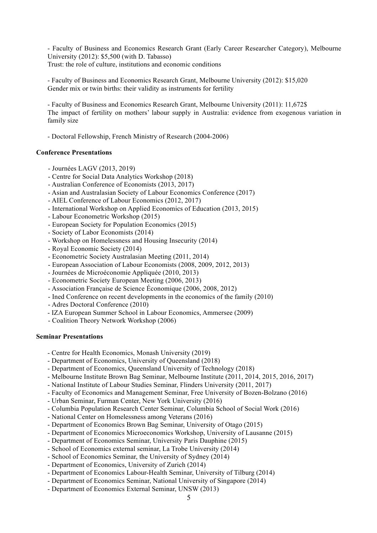- Faculty of Business and Economics Research Grant (Early Career Researcher Category), Melbourne University (2012): \$5,500 (with D. Tabasso) Trust: the role of culture, institutions and economic conditions

- Faculty of Business and Economics Research Grant, Melbourne University (2012): \$15,020 Gender mix or twin births: their validity as instruments for fertility

- Faculty of Business and Economics Research Grant, Melbourne University (2011): 11,672\$ The impact of fertility on mothers' labour supply in Australia: evidence from exogenous variation in family size

- Doctoral Fellowship, French Ministry of Research (2004-2006)

## **Conference Presentations**

- Journées LAGV (2013, 2019)
- Centre for Social Data Analytics Workshop (2018)
- Australian Conference of Economists (2013, 2017)
- Asian and Australasian Society of Labour Economics Conference (2017)
- AIEL Conference of Labour Economics (2012, 2017)
- International Workshop on Applied Economics of Education (2013, 2015)
- Labour Econometric Workshop (2015)
- European Society for Population Economics (2015)
- Society of Labor Economists (2014)
- Workshop on Homelessness and Housing Insecurity (2014)
- Royal Economic Society (2014)
- Econometric Society Australasian Meeting (2011, 2014)
- European Association of Labour Economists (2008, 2009, 2012, 2013)
- Journées de Microéconomie Appliquée (2010, 2013)
- Econometric Society European Meeting (2006, 2013)
- Association Française de Science Économique (2006, 2008, 2012)
- Ined Conference on recent developments in the economics of the family (2010)
- Adres Doctoral Conference (2010)
- IZA European Summer School in Labour Economics, Ammersee (2009)
- Coalition Theory Network Workshop (2006)

## **Seminar Presentations**

- Centre for Health Economics, Monash University (2019)
- Department of Economics, University of Queensland (2018)
- Department of Economics, Queensland University of Technology (2018)
- Melbourne Institute Brown Bag Seminar, Melbourne Institute (2011, 2014, 2015, 2016, 2017)
- National Institute of Labour Studies Seminar, Flinders University (2011, 2017)
- Faculty of Economics and Management Seminar, Free University of Bozen-Bolzano (2016)
- Urban Seminar, Furman Center, New York University (2016)
- Columbia Population Research Center Seminar, Columbia School of Social Work (2016)
- National Center on Homelessness among Veterans (2016)
- Department of Economics Brown Bag Seminar, University of Otago (2015)
- Department of Economics Microeconomics Workshop, University of Lausanne (2015)
- Department of Economics Seminar, University Paris Dauphine (2015)
- School of Economics external seminar, La Trobe University (2014)
- School of Economics Seminar, the University of Sydney (2014)
- Department of Economics, University of Zurich (2014)
- Department of Economics Labour-Health Seminar, University of Tilburg (2014)
- Department of Economics Seminar, National University of Singapore (2014)
- Department of Economics External Seminar, UNSW (2013)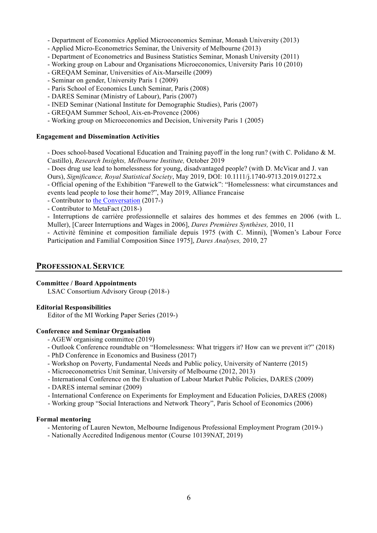- Department of Economics Applied Microeconomics Seminar, Monash University (2013)
- Applied Micro-Econometrics Seminar, the University of Melbourne (2013)
- Department of Econometrics and Business Statistics Seminar, Monash University (2011)
- Working group on Labour and Organisations Microeconomics, University Paris 10 (2010)
- GREQAM Seminar, Universities of Aix-Marseille (2009)
- Seminar on gender, University Paris 1 (2009)
- Paris School of Economics Lunch Seminar, Paris (2008)
- DARES Seminar (Ministry of Labour), Paris (2007)
- INED Seminar (National Institute for Demographic Studies), Paris (2007)
- GREQAM Summer School, Aix-en-Provence (2006)
- Working group on Microeconomics and Decision, University Paris 1 (2005)

## **Engagement and Dissemination Activities**

- Does school-based Vocational Education and Training payoff in the long run? (with C. Polidano & M. Castillo), *Research Insights, Melbourne Institute,* October 2019

- Does drug use lead to homelessness for young, disadvantaged people? (with D. McVicar and J. van Ours), *Significance, Royal Statistical Society*, May 2019, DOI: 10.1111/j.1740-9713.2019.01272.x

- Official opening of the Exhibition "Farewell to the Gatwick": "Homelessness: what circumstances and events lead people to lose their home?", May 2019, Alliance Francaise

- Contributor to the Conversation (2017-)
- Contributor to MetaFact (2018-)

- Interruptions de carrière professionnelle et salaires des hommes et des femmes en 2006 (with L. Muller), [Career Interruptions and Wages in 2006], *Dares Premières Synthèses,* 2010, 11

- Activité féminine et composition familiale depuis 1975 (with C. Minni), [Women's Labour Force Participation and Familial Composition Since 1975], *Dares Analyses,* 2010, 27

## **PROFESSIONAL SERVICE**

#### **Committee / Board Appointments**

LSAC Consortium Advisory Group (2018-)

#### **Editorial Responsibilities**

Editor of the MI Working Paper Series (2019-)

## **Conference and Seminar Organisation**

- AGEW organising committee (2019)
- Outlook Conference roundtable on "Homelessness: What triggers it? How can we prevent it?" (2018)
- PhD Conference in Economics and Business (2017)
- Workshop on Poverty, Fundamental Needs and Public policy, University of Nanterre (2015)
- Microeconometrics Unit Seminar, University of Melbourne (2012, 2013)
- International Conference on the Evaluation of Labour Market Public Policies, DARES (2009)
- DARES internal seminar (2009)
- International Conference on Experiments for Employment and Education Policies, DARES (2008)
- Working group "Social Interactions and Network Theory", Paris School of Economics (2006)

## **Formal mentoring**

- Mentoring of Lauren Newton, Melbourne Indigenous Professional Employment Program (2019-)
- Nationally Accredited Indigenous mentor (Course 10139NAT, 2019)